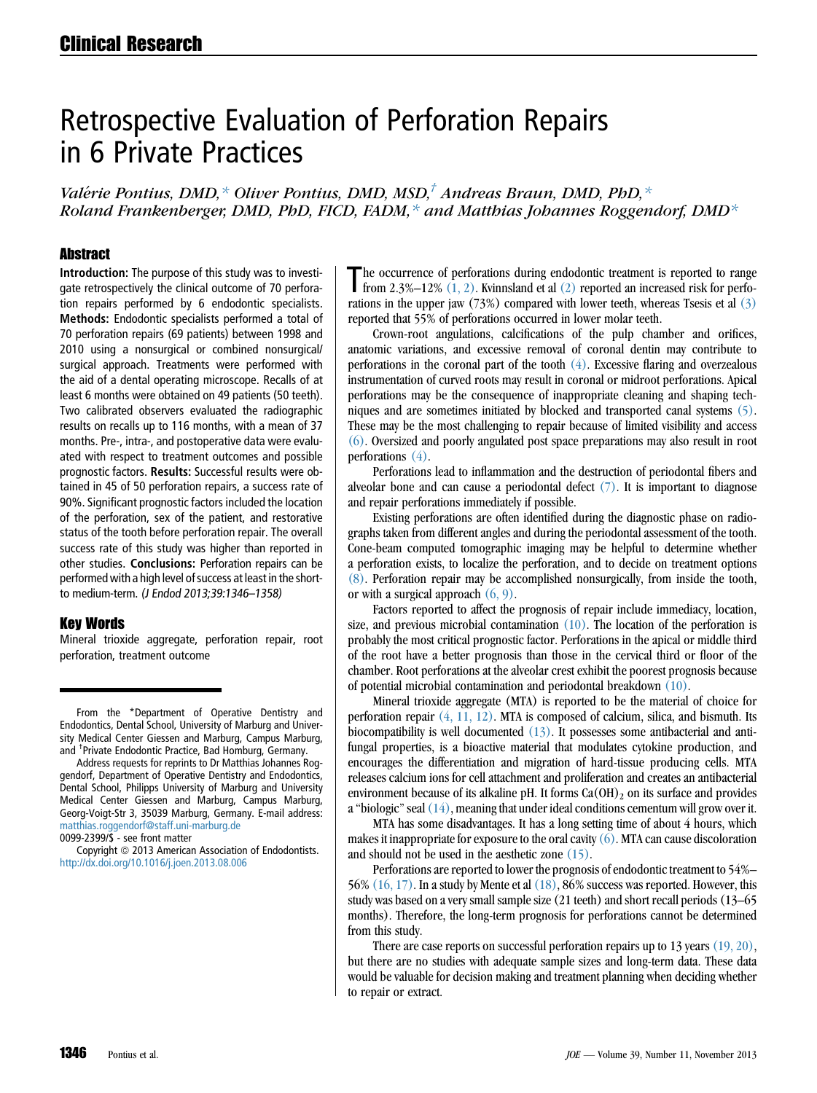# Retrospective Evaluation of Perforation Repairs in 6 Private Practices

Valérie Pontius, DMD,  $*$  Oliver Pontius, DMD, MSD, $<sup>†</sup>$  Andreas Braun, DMD, PhD,  $*$ </sup> Roland Frankenberger, DMD, PhD, FICD, FADM, $*$  and Matthias Johannes Roggendorf, DMD $*$ 

#### **Abstract**

Introduction: The purpose of this study was to investigate retrospectively the clinical outcome of 70 perforation repairs performed by 6 endodontic specialists. Methods: Endodontic specialists performed a total of 70 perforation repairs (69 patients) between 1998 and 2010 using a nonsurgical or combined nonsurgical/ surgical approach. Treatments were performed with the aid of a dental operating microscope. Recalls of at least 6 months were obtained on 49 patients (50 teeth). Two calibrated observers evaluated the radiographic results on recalls up to 116 months, with a mean of 37 months. Pre-, intra-, and postoperative data were evaluated with respect to treatment outcomes and possible prognostic factors. Results: Successful results were obtained in 45 of 50 perforation repairs, a success rate of 90%. Significant prognostic factors included the location of the perforation, sex of the patient, and restorative status of the tooth before perforation repair. The overall success rate of this study was higher than reported in other studies. Conclusions: Perforation repairs can be performed with a high level of success at least in the shortto medium-term. (J Endod 2013;39:1346–1358)

#### Key Words

Mineral trioxide aggregate, perforation repair, root perforation, treatment outcome

Address requests for reprints to Dr Matthias Johannes Roggendorf, Department of Operative Dentistry and Endodontics, Dental School, Philipps University of Marburg and University Medical Center Giessen and Marburg, Campus Marburg, Georg-Voigt-Str 3, 35039 Marburg, Germany. E-mail address: [matthias.roggendorf@staff.uni-marburg.de](mailto:matthias.roggendorf@staff.uni-marburg.de)

0099-2399/\$ - see front matter

Copyright © 2013 American Association of Endodontists. <http://dx.doi.org/10.1016/j.joen.2013.08.006>

The occurrence of perforations during endodontic treatment is reported to range<br>from 2.3%–12%  $(1, 2)$ . Kvinnsland et al  $(2)$  reported an increased risk for perforations in the upper jaw  $(73%)$  compared with lower teeth, whereas Tsesis et al  $(3)$ reported that 55% of perforations occurred in lower molar teeth.

Crown-root angulations, calcifications of the pulp chamber and orifices, anatomic variations, and excessive removal of coronal dentin may contribute to perforations in the coronal part of the tooth  $(4)$ . Excessive flaring and overzealous instrumentation of curved roots may result in coronal or midroot perforations. Apical perforations may be the consequence of inappropriate cleaning and shaping techniques and are sometimes initiated by blocked and transported canal systems [\(5\).](#page-11-0) These may be the most challenging to repair because of limited visibility and access [\(6\)](#page-11-0). Oversized and poorly angulated post space preparations may also result in root perforations [\(4\)](#page-11-0).

Perforations lead to inflammation and the destruction of periodontal fibers and alveolar bone and can cause a periodontal defect  $(7)$ . It is important to diagnose and repair perforations immediately if possible.

Existing perforations are often identified during the diagnostic phase on radiographs taken from different angles and during the periodontal assessment of the tooth. Cone-beam computed tomographic imaging may be helpful to determine whether a perforation exists, to localize the perforation, and to decide on treatment options [\(8\)](#page-11-0). Perforation repair may be accomplished nonsurgically, from inside the tooth, or with a surgical approach  $(6, 9)$ .

Factors reported to affect the prognosis of repair include immediacy, location, size, and previous microbial contamination  $(10)$ . The location of the perforation is probably the most critical prognostic factor. Perforations in the apical or middle third of the root have a better prognosis than those in the cervical third or floor of the chamber. Root perforations at the alveolar crest exhibit the poorest prognosis because of potential microbial contamination and periodontal breakdown [\(10\).](#page-11-0)

Mineral trioxide aggregate (MTA) is reported to be the material of choice for perforation repair [\(4, 11, 12\)](#page-11-0). MTA is composed of calcium, silica, and bismuth. Its biocompatibility is well documented [\(13\).](#page-11-0) It possesses some antibacterial and antifungal properties, is a bioactive material that modulates cytokine production, and encourages the differentiation and migration of hard-tissue producing cells. MTA releases calcium ions for cell attachment and proliferation and creates an antibacterial environment because of its alkaline pH. It forms  $Ca(OH)_2$  on its surface and provides a "biologic" seal  $(14)$ , meaning that under ideal conditions cementum will grow over it.

MTA has some disadvantages. It has a long setting time of about 4 hours, which makes it inappropriate for exposure to the oral cavity  $(6)$ . MTA can cause discoloration and should not be used in the aesthetic zone [\(15\)](#page-11-0).

Perforations are reported to lower the prognosis of endodontic treatment to 54%– 56%  $(16, 17)$ . In a study by Mente et al  $(18)$ , 86% success was reported. However, this study was based on a very small sample size (21 teeth) and short recall periods (13–65 months). Therefore, the long-term prognosis for perforations cannot be determined from this study.

There are case reports on successful perforation repairs up to 13 years [\(19, 20\),](#page-11-0) but there are no studies with adequate sample sizes and long-term data. These data would be valuable for decision making and treatment planning when deciding whether to repair or extract.

From the \*Department of Operative Dentistry and Endodontics, Dental School, University of Marburg and University Medical Center Giessen and Marburg, Campus Marburg, and † Private Endodontic Practice, Bad Homburg, Germany.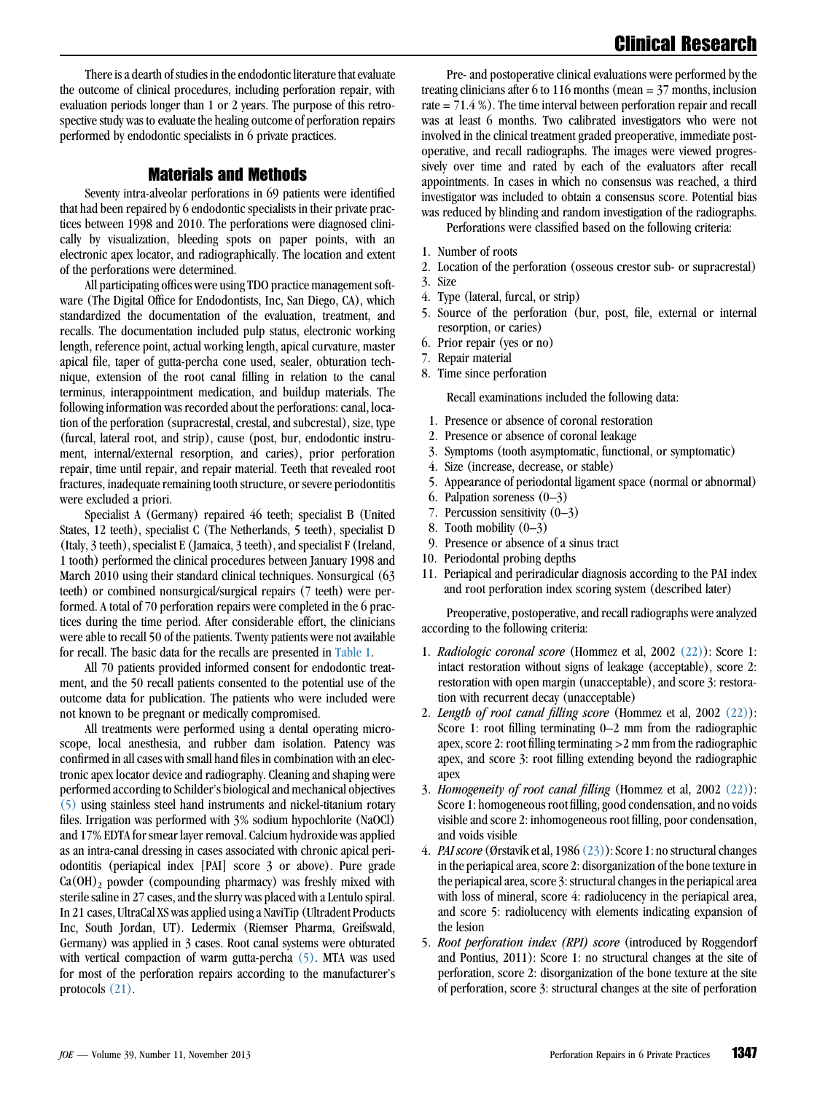There is a dearth of studies in the endodontic literature that evaluate the outcome of clinical procedures, including perforation repair, with evaluation periods longer than 1 or 2 years. The purpose of this retrospective study was to evaluate the healing outcome of perforation repairs performed by endodontic specialists in 6 private practices.

### Materials and Methods

Seventy intra-alveolar perforations in 69 patients were identified that had been repaired by 6 endodontic specialists in their private practices between 1998 and 2010. The perforations were diagnosed clinically by visualization, bleeding spots on paper points, with an electronic apex locator, and radiographically. The location and extent of the perforations were determined.

All participating offices were using TDO practice management software (The Digital Office for Endodontists, Inc, San Diego, CA), which standardized the documentation of the evaluation, treatment, and recalls. The documentation included pulp status, electronic working length, reference point, actual working length, apical curvature, master apical file, taper of gutta-percha cone used, sealer, obturation technique, extension of the root canal filling in relation to the canal terminus, interappointment medication, and buildup materials. The following information was recorded about the perforations: canal, location of the perforation (supracrestal, crestal, and subcrestal), size, type (furcal, lateral root, and strip), cause (post, bur, endodontic instrument, internal/external resorption, and caries), prior perforation repair, time until repair, and repair material. Teeth that revealed root fractures, inadequate remaining tooth structure, or severe periodontitis were excluded a priori.

Specialist A (Germany) repaired 46 teeth; specialist B (United States, 12 teeth), specialist C (The Netherlands, 5 teeth), specialist D (Italy, 3 teeth), specialist E (Jamaica, 3 teeth), and specialist F (Ireland, 1 tooth) performed the clinical procedures between January 1998 and March 2010 using their standard clinical techniques. Nonsurgical (63 teeth) or combined nonsurgical/surgical repairs (7 teeth) were performed. A total of 70 perforation repairs were completed in the 6 practices during the time period. After considerable effort, the clinicians were able to recall 50 of the patients. Twenty patients were not available for recall. The basic data for the recalls are presented in [Table 1.](#page-2-0)

All 70 patients provided informed consent for endodontic treatment, and the 50 recall patients consented to the potential use of the outcome data for publication. The patients who were included were not known to be pregnant or medically compromised.

All treatments were performed using a dental operating microscope, local anesthesia, and rubber dam isolation. Patency was confirmed in all cases with small hand files in combination with an electronic apex locator device and radiography. Cleaning and shaping were performed according to Schilder's biological and mechanical objectives [\(5\)](#page-11-0) using stainless steel hand instruments and nickel-titanium rotary files. Irrigation was performed with 3% sodium hypochlorite (NaOCl) and 17% EDTA for smear layer removal. Calcium hydroxide was applied as an intra-canal dressing in cases associated with chronic apical periodontitis (periapical index [PAI] score 3 or above). Pure grade  $Ca(OH)_2$  powder (compounding pharmacy) was freshly mixed with sterile saline in 27 cases, and the slurry was placed with a Lentulo spiral. In 21 cases, UltraCal XS was applied using a NaviTip (Ultradent Products Inc, South Jordan, UT). Ledermix (Riemser Pharma, Greifswald, Germany) was applied in 3 cases. Root canal systems were obturated with vertical compaction of warm gutta-percha [\(5\)](#page-11-0). MTA was used for most of the perforation repairs according to the manufacturer's protocols [\(21\).](#page-11-0)

Pre- and postoperative clinical evaluations were performed by the treating clinicians after 6 to 116 months (mean = 37 months, inclusion rate = 71.4 %). The time interval between perforation repair and recall was at least 6 months. Two calibrated investigators who were not involved in the clinical treatment graded preoperative, immediate postoperative, and recall radiographs. The images were viewed progressively over time and rated by each of the evaluators after recall appointments. In cases in which no consensus was reached, a third investigator was included to obtain a consensus score. Potential bias was reduced by blinding and random investigation of the radiographs.

Perforations were classified based on the following criteria:

- 1. Number of roots
- 2. Location of the perforation (osseous crestor sub- or supracrestal)
- 3. Size
- 4. Type (lateral, furcal, or strip)
- 5. Source of the perforation (bur, post, file, external or internal resorption, or caries)
- 6. Prior repair (yes or no)
- 7. Repair material
- 8. Time since perforation

Recall examinations included the following data:

- 1. Presence or absence of coronal restoration
- 2. Presence or absence of coronal leakage
- 3. Symptoms (tooth asymptomatic, functional, or symptomatic)
- 4. Size (increase, decrease, or stable)
- 5. Appearance of periodontal ligament space (normal or abnormal)
- 6. Palpation soreness (0–3)
- 7. Percussion sensitivity (0–3)
- 8. Tooth mobility (0–3)
- 9. Presence or absence of a sinus tract
- 10. Periodontal probing depths
- 11. Periapical and periradicular diagnosis according to the PAI index and root perforation index scoring system (described later)

Preoperative, postoperative, and recall radiographs were analyzed according to the following criteria:

- 1. Radiologic coronal score (Hommez et al, 2002 [\(22\)\)](#page-11-0): Score 1: intact restoration without signs of leakage (acceptable), score 2: restoration with open margin (unacceptable), and score 3: restoration with recurrent decay (unacceptable)
- 2. Length of root canal filling score (Hommez et al,  $2002 (22)$  $2002 (22)$ ): Score 1: root filling terminating 0–2 mm from the radiographic apex, score 2: root filling terminating >2 mm from the radiographic apex, and score 3: root filling extending beyond the radiographic apex
- 3. Homogeneity of root canal filling (Hommez et al,  $2002 \ (22)$  $2002 \ (22)$ ): Score 1: homogeneous root filling, good condensation, and no voids visible and score 2: inhomogeneous root filling, poor condensation, and voids visible
- 4. PAI score (Ørstavik et al, 1986  $(23)$ ): Score 1: no structural changes in the periapical area, score 2: disorganization of the bone texture in the periapical area, score 3: structural changes in the periapical area with loss of mineral, score 4: radiolucency in the periapical area, and score 5: radiolucency with elements indicating expansion of the lesion
- 5. Root perforation index (RPI) score (introduced by Roggendorf and Pontius, 2011): Score 1: no structural changes at the site of perforation, score 2: disorganization of the bone texture at the site of perforation, score 3: structural changes at the site of perforation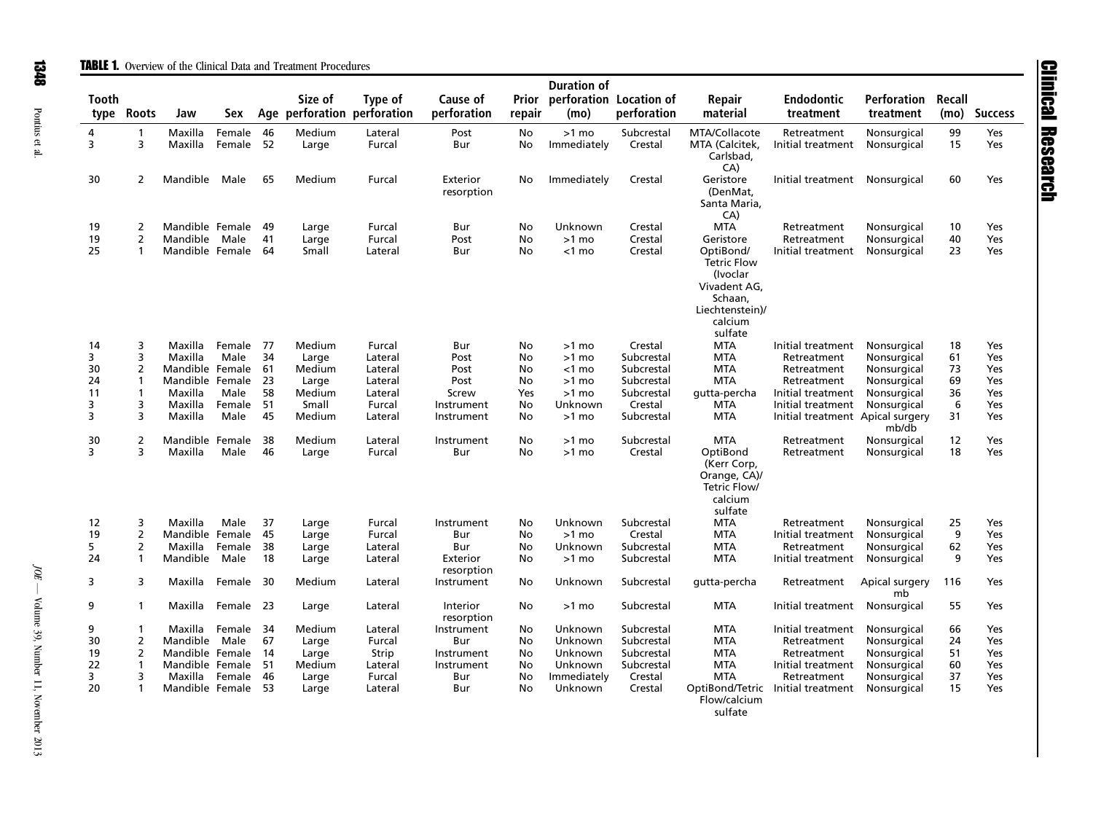<span id="page-2-0"></span>

|              |                   |                    |                     |      |                                        |                   |                         |                 | <b>Duration of</b>              |                       |                                                                                                                 |                                  |                            |                |                |
|--------------|-------------------|--------------------|---------------------|------|----------------------------------------|-------------------|-------------------------|-----------------|---------------------------------|-----------------------|-----------------------------------------------------------------------------------------------------------------|----------------------------------|----------------------------|----------------|----------------|
| <b>Tooth</b> | type Roots        | Jaw                | Sex                 |      | Size of<br>Age perforation perforation | Type of           | Cause of<br>perforation | Prior<br>repair | perforation Location of<br>(mo) | perforation           | Repair<br>material                                                                                              | <b>Endodontic</b><br>treatment   | Perforation<br>treatment   | Recall<br>(mo) | <b>Success</b> |
| 4<br>3       | $\mathbf{1}$<br>3 | Maxilla<br>Maxilla | Female<br>Female 52 | 46   | Medium<br>Large                        | Lateral<br>Furcal | Post<br>Bur             | No<br>No        | $>1$ mo<br>Immediately          | Subcrestal<br>Crestal | MTA/Collacote<br>MTA (Calcitek,<br>Carlsbad,<br>CA)                                                             | Retreatment<br>Initial treatment | Nonsurgical<br>Nonsurgical | 99<br>15       | Yes<br>Yes     |
| 30           | $\overline{2}$    | Mandible Male      |                     | 65   | Medium                                 | Furcal            | Exterior<br>resorption  | No              | Immediately                     | Crestal               | Geristore<br>(DenMat,<br>Santa Maria,<br>CA)                                                                    | Initial treatment                | Nonsurgical                | 60             | Yes            |
| 19           | 2                 | Mandible Female    |                     | - 49 | Large                                  | Furcal            | Bur                     | No              | Unknown                         | Crestal               | <b>MTA</b>                                                                                                      | Retreatment                      | Nonsurgical                | 10             | Yes            |
| 19           | $\overline{2}$    | Mandible Male      |                     | 41   | Large                                  | Furcal            | Post                    | No              | $>1$ mo                         | Crestal               | Geristore                                                                                                       | Retreatment                      | Nonsurgical                | 40             | Yes            |
| 25           | 1                 | Mandible Female    |                     | 64   | Small                                  | Lateral           | Bur                     | No              | $<$ 1 mo                        | Crestal               | OptiBond/<br><b>Tetric Flow</b><br>(Ivoclar<br>Vivadent AG,<br>Schaan,<br>Liechtenstein)/<br>calcium<br>sulfate | Initial treatment                | Nonsurgical                | 23             | Yes            |
| 14           | 3                 | Maxilla            | Female 77           |      | Medium                                 | Furcal            | Bur                     | No              | $>1$ mo                         | Crestal               | <b>MTA</b>                                                                                                      | Initial treatment                | Nonsurgical                | 18             | Yes            |
| 3            | 3                 | Maxilla            | Male                | 34   | Large                                  | Lateral           | Post                    | No              | $>1$ mo                         | Subcrestal            | <b>MTA</b>                                                                                                      | Retreatment                      | Nonsurgical                | 61             | Yes            |
| 30           | 2                 | Mandible Female    |                     | - 61 | Medium                                 | Lateral           | Post                    | No              | $<$ 1 mo                        | Subcrestal            | <b>MTA</b>                                                                                                      | Retreatment                      | Nonsurgical                | 73             | Yes            |
| 24           | 1                 | Mandible Female    |                     | - 23 | Large                                  | Lateral           | Post                    | No              | $>1$ mo                         | Subcrestal            | <b>MTA</b>                                                                                                      | Retreatment                      | Nonsurgical                | 69             | Yes            |
| 11           | 1                 | Maxilla            | Male                | 58   | Medium                                 | Lateral           | Screw                   | Yes             | $>1$ mo                         | Subcrestal            | gutta-percha                                                                                                    | Initial treatment                | Nonsurgical                | 36             | Yes            |
| 3            | 3                 | Maxilla            | Female              | 51   | Small                                  | Furcal            | Instrument              | No              | Unknown                         | Crestal               | <b>MTA</b>                                                                                                      | Initial treatment                | Nonsurgical                | 6              | Yes            |
| 3            | 3                 | Maxilla            | Male                | 45   | Medium                                 | Lateral           | Instrument              | No              | $>1$ mo                         | Subcrestal            | <b>MTA</b>                                                                                                      | Initial treatment Apical surgery | mb/db                      | 31             | Yes            |
| 30           | $\overline{2}$    | Mandible Female    |                     | 38   | Medium                                 | Lateral           | Instrument              | No              | $>1$ mo                         | Subcrestal            | <b>MTA</b>                                                                                                      | Retreatment                      | Nonsurgical                | 12             | Yes            |
| 3            | 3                 | Maxilla            | Male                | 46   | Large                                  | Furcal            | Bur                     | No              | >1 mo                           | Crestal               | OptiBond<br>(Kerr Corp,<br>Orange, CA)/<br>Tetric Flow/<br>calcium<br>sulfate                                   | Retreatment                      | Nonsurgical                | 18             | Yes            |
| 12           | 3                 | Maxilla            | Male                | 37   | Large                                  | Furcal            | Instrument              | No              | Unknown                         | Subcrestal            | <b>MTA</b>                                                                                                      | Retreatment                      | Nonsurgical                | 25             | Yes            |
| 19           | 2                 | Mandible Female    |                     | -45  | Large                                  | Furcal            | Bur                     | No              | $>1$ mo                         | Crestal               | <b>MTA</b>                                                                                                      | Initial treatment                | Nonsurgical                | 9              | Yes            |
| 5            | $\overline{2}$    | Maxilla            | Female              | - 38 | Large                                  | Lateral           | Bur                     | No              | Unknown                         | Subcrestal            | <b>MTA</b>                                                                                                      | Retreatment                      | Nonsurgical                | 62             | Yes            |
| 24           | 1                 | Mandible Male      |                     | 18   | Large                                  | Lateral           | Exterior<br>resorption  | No              | $>1$ mo                         | Subcrestal            | <b>MTA</b>                                                                                                      | Initial treatment                | Nonsurgical                | 9              | Yes            |
| 3            | 3                 | Maxilla            | Female 30           |      | Medium                                 | Lateral           | Instrument              | No              | Unknown                         | Subcrestal            | gutta-percha                                                                                                    | Retreatment                      | Apical surgery<br>mb       | 116            | Yes            |
| 9            | $\mathbf{1}$      | Maxilla            | Female 23           |      | Large                                  | Lateral           | Interior<br>resorption  | No              | $>1$ mo                         | Subcrestal            | <b>MTA</b>                                                                                                      | Initial treatment                | Nonsurgical                | 55             | Yes            |
| 9            | 1                 | Maxilla            | Female 34           |      | Medium                                 | Lateral           | Instrument              | No              | Unknown                         | Subcrestal            | <b>MTA</b>                                                                                                      | Initial treatment                | Nonsurgical                | 66             | Yes            |
| 30           | $\overline{2}$    | Mandible Male      |                     | 67   | Large                                  | Furcal            | Bur                     | No              | Unknown                         | Subcrestal            | <b>MTA</b>                                                                                                      | Retreatment                      | Nonsurgical                | 24             | Yes            |
| 19           | $\overline{2}$    | Mandible Female    |                     | - 14 | Large                                  | Strip             | Instrument              | No              | Unknown                         | Subcrestal            | <b>MTA</b>                                                                                                      | Retreatment                      | Nonsurgical                | 51             | Yes            |
| 22           | 1                 | Mandible Female    |                     | 51   | Medium                                 | Lateral           | Instrument              | No              | Unknown                         | Subcrestal            | <b>MTA</b>                                                                                                      | Initial treatment                | Nonsurgical                | 60             | Yes            |
| 3            | 3                 | Maxilla            | Female              | -46  | Large                                  | Furcal            | Bur                     | No              | Immediately                     | Crestal               | <b>MTA</b>                                                                                                      | Retreatment                      | Nonsurgical                | 37             | Yes            |
| 20           | 1                 | Mandible Female    |                     | - 53 | Large                                  | Lateral           | Bur                     | No              | Unknown                         | Crestal               | OptiBond/Tetric<br>Flow/calcium<br>61.15                                                                        | Initial treatment                | Nonsurgical                | 15             | Yes            |

sulfate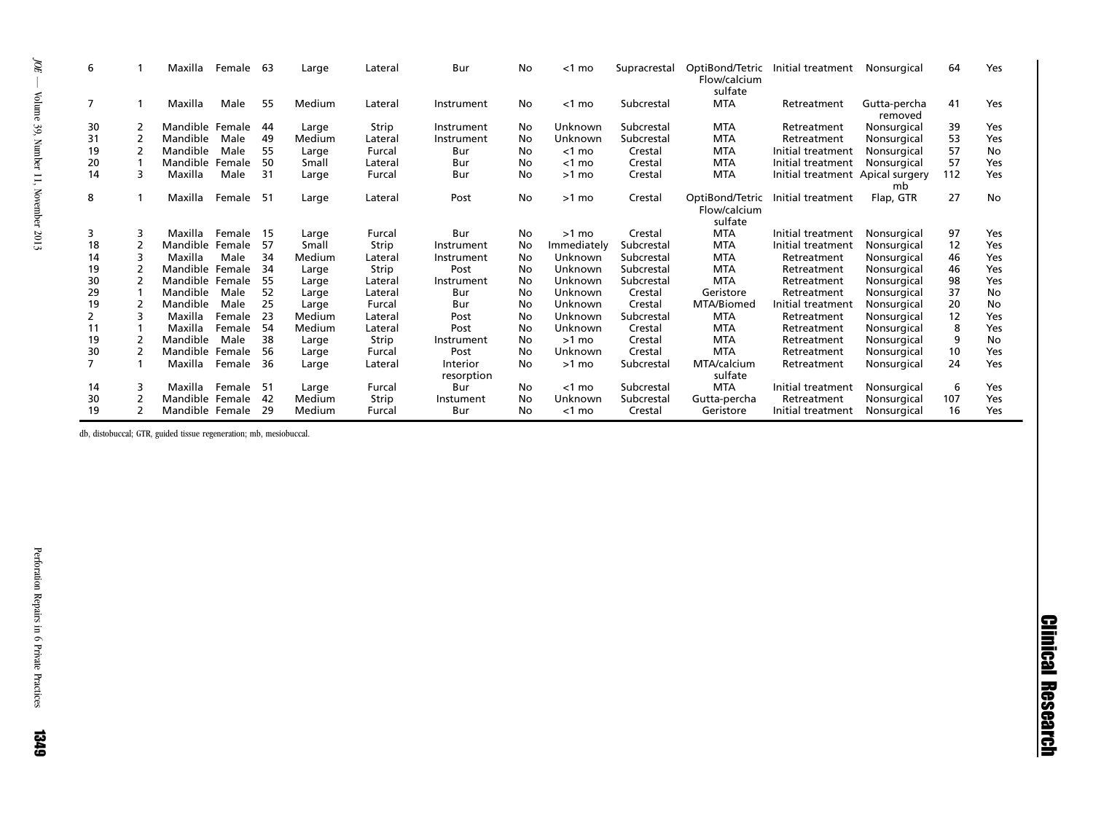| b              |   | Maxilla         | Female | -63 | Large  | Lateral | Bur                    | No  | <1 mo       | Supracrestal | OptiBond/Tetric<br>Flow/calcium<br>sulfate | Initial treatment                | Nonsurgical             | 64  | Yes |
|----------------|---|-----------------|--------|-----|--------|---------|------------------------|-----|-------------|--------------|--------------------------------------------|----------------------------------|-------------------------|-----|-----|
|                |   | Maxilla         | Male   | 55  | Medium | Lateral | Instrument             | No. | $<$ 1 mo    | Subcrestal   | <b>MTA</b>                                 | Retreatment                      | Gutta-percha<br>removed | 41  | Yes |
| 30             |   | Mandible Female |        | 44  | Large  | Strip   | Instrument             | No  | Unknown     | Subcrestal   | <b>MTA</b>                                 | Retreatment                      | Nonsurgical             | 39  | Yes |
| 31             |   | Mandible        | Male   | 49  | Medium | Lateral | Instrument             | No  | Unknown     | Subcrestal   | <b>MTA</b>                                 | Retreatment                      | Nonsurgical             | 53  | Yes |
| 19             |   | Mandible        | Male   | 55  | Large  | Furcal  | Bur                    | No  | $<$ 1 mo    | Crestal      | <b>MTA</b>                                 | Initial treatment                | Nonsurgical             | 57  | No  |
| 20             |   | Mandible        | Female | 50  | Small  | Lateral | Bur                    | No. | $<$ 1 mo    | Crestal      | <b>MTA</b>                                 | Initial treatment                | Nonsurgical             | 57  | Yes |
| 14             | 3 | Maxilla         | Male   | 31  | Large  | Furcal  | Bur                    | No. | $>1$ mo     | Crestal      | <b>MTA</b>                                 | Initial treatment Apical surgery | mb                      | 112 | Yes |
| 8              |   | Maxilla         | Female | -51 | Large  | Lateral | Post                   | No  | $>1$ mo     | Crestal      | OptiBond/Tetric<br>Flow/calcium<br>sulfate | Initial treatment                | Flap, GTR               | 27  | No  |
| 3              | 3 | Maxilla         | Female | 15  | Large  | Furcal  | Bur                    | No  | $>1$ mo     | Crestal      | <b>MTA</b>                                 | Initial treatment                | Nonsurgical             | 97  | Yes |
| 18             |   | Mandible        | Female | 57  | Small  | Strip   | Instrument             | No  | Immediately | Subcrestal   | <b>MTA</b>                                 | Initial treatment                | Nonsurgical             | 12  | Yes |
| 14             | 3 | Maxilla         | Male   | 34  | Medium | Lateral | Instrument             | No  | Unknown     | Subcrestal   | <b>MTA</b>                                 | Retreatment                      | Nonsurgical             | 46  | Yes |
| 19             |   | Mandible        | Female | 34  | Large  | Strip   | Post                   | No  | Unknown     | Subcrestal   | <b>MTA</b>                                 | Retreatment                      | Nonsurgical             | 46  | Yes |
| 30             |   | Mandible Female |        | 55  | Large  | Lateral | Instrument             | No  | Unknown     | Subcrestal   | <b>MTA</b>                                 | Retreatment                      | Nonsurgical             | 98  | Yes |
| 29             |   | Mandible        | Male   | 52  | Large  | Lateral | Bur                    | No  | Unknown     | Crestal      | Geristore                                  | Retreatment                      | Nonsurgical             | 37  | No  |
| 19             |   | Mandible        | Male   | 25  | Large  | Furcal  | Bur                    | No  | Unknown     | Crestal      | MTA/Biomed                                 | Initial treatment                | Nonsurgical             | 20  | No  |
| 2              |   | Maxilla         | Female | 23  | Medium | Lateral | Post                   | No  | Unknown     | Subcrestal   | <b>MTA</b>                                 | Retreatment                      | Nonsurgical             | 12  | Yes |
| 11             |   | Maxilla         | Female | 54  | Medium | Lateral | Post                   | No  | Unknown     | Crestal      | <b>MTA</b>                                 | Retreatment                      | Nonsurgical             | 8   | Yes |
| 19             |   | Mandible        | Male   | 38  | Large  | Strip   | Instrument             | No  | $>1$ mo     | Crestal      | <b>MTA</b>                                 | Retreatment                      | Nonsurgical             | 9   | No  |
| 30             |   | Mandible        | Female | 56  | Large  | Furcal  | Post                   | No  | Unknown     | Crestal      | <b>MTA</b>                                 | Retreatment                      | Nonsurgical             | 10  | Yes |
| $\overline{7}$ |   | Maxilla         | Female | 36  | Large  | Lateral | Interior<br>resorption | No. | $>1$ mo     | Subcrestal   | MTA/calcium<br>sulfate                     | Retreatment                      | Nonsurgical             | 24  | Yes |
| 14             | 3 | Maxilla         | Female | -51 | Large  | Furcal  | Bur                    | No. | $<$ 1 mo    | Subcrestal   | <b>MTA</b>                                 | Initial treatment                | Nonsurgical             | 6   | Yes |
| 30             |   | Mandible Female |        | 42  | Medium | Strip   | Instument              | No  | Unknown     | Subcrestal   | Gutta-percha                               | Retreatment                      | Nonsurgical             | 107 | Yes |
| 19             |   | Mandible Female |        | 29  | Medium | Furcal  | Bur                    | No. | $<$ 1 mo    | Crestal      | Geristore                                  | Initial treatment                | Nonsurgical             | 16  | Yes |

db, distobuccal; GTR, guided tissue regeneration; mb, mesiobuccal.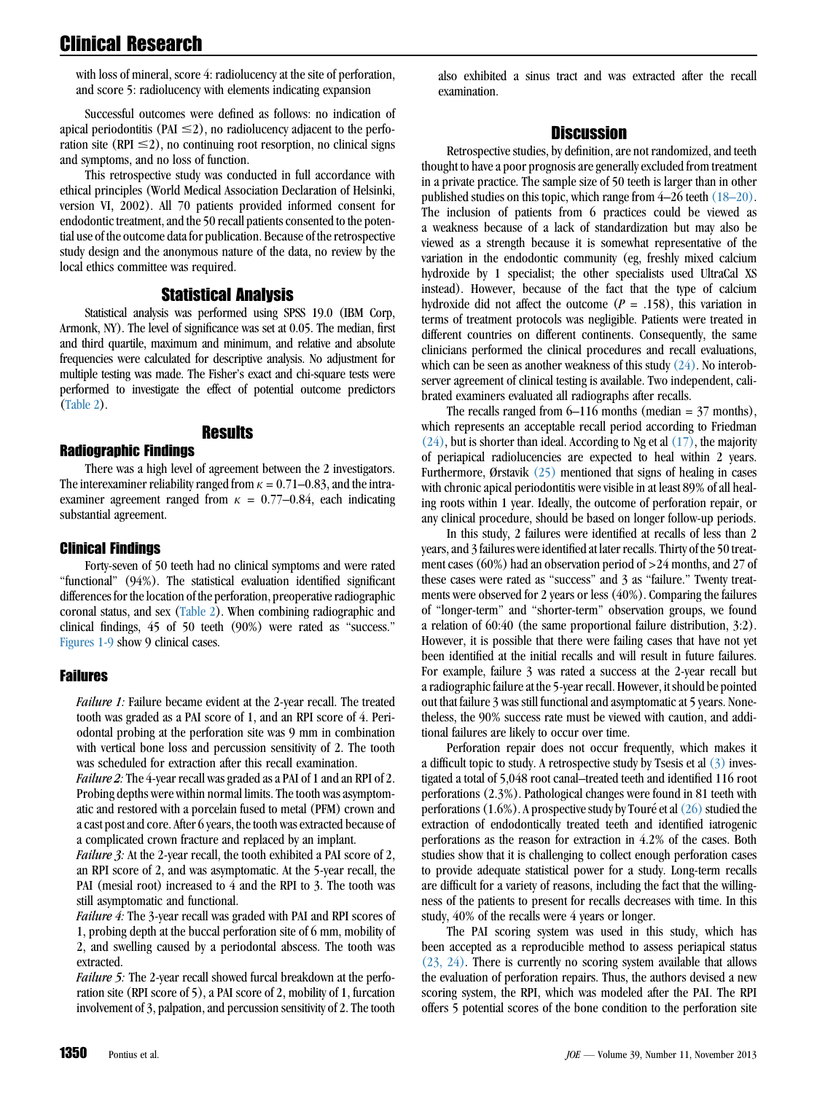with loss of mineral, score 4: radiolucency at the site of perforation, and score 5: radiolucency with elements indicating expansion

Successful outcomes were defined as follows: no indication of apical periodontitis (PAI  $\leq$ 2), no radiolucency adjacent to the perforation site (RPI  $\leq$ 2), no continuing root resorption, no clinical signs and symptoms, and no loss of function.

This retrospective study was conducted in full accordance with ethical principles (World Medical Association Declaration of Helsinki, version VI, 2002). All 70 patients provided informed consent for endodontic treatment, and the 50 recall patients consented to the potential use of the outcome data for publication. Because of the retrospective study design and the anonymous nature of the data, no review by the local ethics committee was required.

### Statistical Analysis

Statistical analysis was performed using SPSS 19.0 (IBM Corp, Armonk, NY). The level of significance was set at 0.05. The median, first and third quartile, maximum and minimum, and relative and absolute frequencies were calculated for descriptive analysis. No adjustment for multiple testing was made. The Fisher's exact and chi-square tests were performed to investigate the effect of potential outcome predictors ([Table 2](#page-5-0)).

### Results

#### Radiographic Findings

There was a high level of agreement between the 2 investigators. The interexaminer reliability ranged from  $\kappa = 0.71{\text{-}}0.83$ , and the intraexaminer agreement ranged from  $\kappa = 0.77{\text -}0.84$ , each indicating substantial agreement.

### Clinical Findings

Forty-seven of 50 teeth had no clinical symptoms and were rated ''functional'' (94%). The statistical evaluation identified significant differences for the location of the perforation, preoperative radiographic coronal status, and sex ([Table 2](#page-5-0)). When combining radiographic and clinical findings, 45 of 50 teeth (90%) were rated as ''success.'' [Figures 1-9](#page-7-0) show 9 clinical cases.

### Failures

Failure 1: Failure became evident at the 2-year recall. The treated tooth was graded as a PAI score of 1, and an RPI score of 4. Periodontal probing at the perforation site was 9 mm in combination with vertical bone loss and percussion sensitivity of 2. The tooth was scheduled for extraction after this recall examination.

Failure 2: The 4-year recall was graded as a PAI of 1 and an RPI of 2. Probing depths were within normal limits. The tooth was asymptomatic and restored with a porcelain fused to metal (PFM) crown and a cast post and core. After 6 years, the tooth was extracted because of a complicated crown fracture and replaced by an implant.

Failure 3: At the 2-year recall, the tooth exhibited a PAI score of 2, an RPI score of 2, and was asymptomatic. At the 5-year recall, the PAI (mesial root) increased to 4 and the RPI to 3. The tooth was still asymptomatic and functional.

Failure 4: The 3-year recall was graded with PAI and RPI scores of 1, probing depth at the buccal perforation site of 6 mm, mobility of 2, and swelling caused by a periodontal abscess. The tooth was extracted.

Failure 5: The 2-year recall showed furcal breakdown at the perforation site (RPI score of 5), a PAI score of 2, mobility of 1, furcation involvement of 3, palpation, and percussion sensitivity of 2. The tooth also exhibited a sinus tract and was extracted after the recall examination.

### **Discussion**

Retrospective studies, by definition, are not randomized, and teeth thought to have a poor prognosis are generally excluded from treatment in a private practice. The sample size of 50 teeth is larger than in other published studies on this topic, which range from 4–26 teeth [\(18–20\).](#page-11-0) The inclusion of patients from 6 practices could be viewed as a weakness because of a lack of standardization but may also be viewed as a strength because it is somewhat representative of the variation in the endodontic community (eg, freshly mixed calcium hydroxide by 1 specialist; the other specialists used UltraCal XS instead). However, because of the fact that the type of calcium hydroxide did not affect the outcome ( $P = .158$ ), this variation in terms of treatment protocols was negligible. Patients were treated in different countries on different continents. Consequently, the same clinicians performed the clinical procedures and recall evaluations, which can be seen as another weakness of this study  $(24)$ . No interobserver agreement of clinical testing is available. Two independent, calibrated examiners evaluated all radiographs after recalls.

The recalls ranged from  $6-116$  months (median = 37 months), which represents an acceptable recall period according to Friedman [\(24\),](#page-11-0) but is shorter than ideal. According to Ng et al [\(17\)](#page-11-0), the majority of periapical radiolucencies are expected to heal within 2 years. Furthermore, Ørstavik [\(25\)](#page-11-0) mentioned that signs of healing in cases with chronic apical periodontitis were visible in at least 89% of all healing roots within 1 year. Ideally, the outcome of perforation repair, or any clinical procedure, should be based on longer follow-up periods.

In this study, 2 failures were identified at recalls of less than 2 years, and 3 failures were identified at later recalls. Thirty of the 50 treatment cases (60%) had an observation period of >24 months, and 27 of these cases were rated as ''success'' and 3 as ''failure.'' Twenty treatments were observed for 2 years or less (40%). Comparing the failures of ''longer-term'' and ''shorter-term'' observation groups, we found a relation of 60:40 (the same proportional failure distribution, 3:2). However, it is possible that there were failing cases that have not yet been identified at the initial recalls and will result in future failures. For example, failure 3 was rated a success at the 2-year recall but a radiographic failure at the 5-year recall. However, it should be pointed out that failure 3 was still functional and asymptomatic at 5 years. Nonetheless, the 90% success rate must be viewed with caution, and additional failures are likely to occur over time.

Perforation repair does not occur frequently, which makes it a difficult topic to study. A retrospective study by Tsesis et al  $(3)$  investigated a total of 5,048 root canal–treated teeth and identified 116 root perforations (2.3%). Pathological changes were found in 81 teeth with perforations  $(1.6\%)$ . A prospective study by Touré et al  $(26)$  studied the extraction of endodontically treated teeth and identified iatrogenic perforations as the reason for extraction in 4.2% of the cases. Both studies show that it is challenging to collect enough perforation cases to provide adequate statistical power for a study. Long-term recalls are difficult for a variety of reasons, including the fact that the willingness of the patients to present for recalls decreases with time. In this study, 40% of the recalls were 4 years or longer.

The PAI scoring system was used in this study, which has been accepted as a reproducible method to assess periapical status [\(23, 24\).](#page-11-0) There is currently no scoring system available that allows the evaluation of perforation repairs. Thus, the authors devised a new scoring system, the RPI, which was modeled after the PAI. The RPI offers 5 potential scores of the bone condition to the perforation site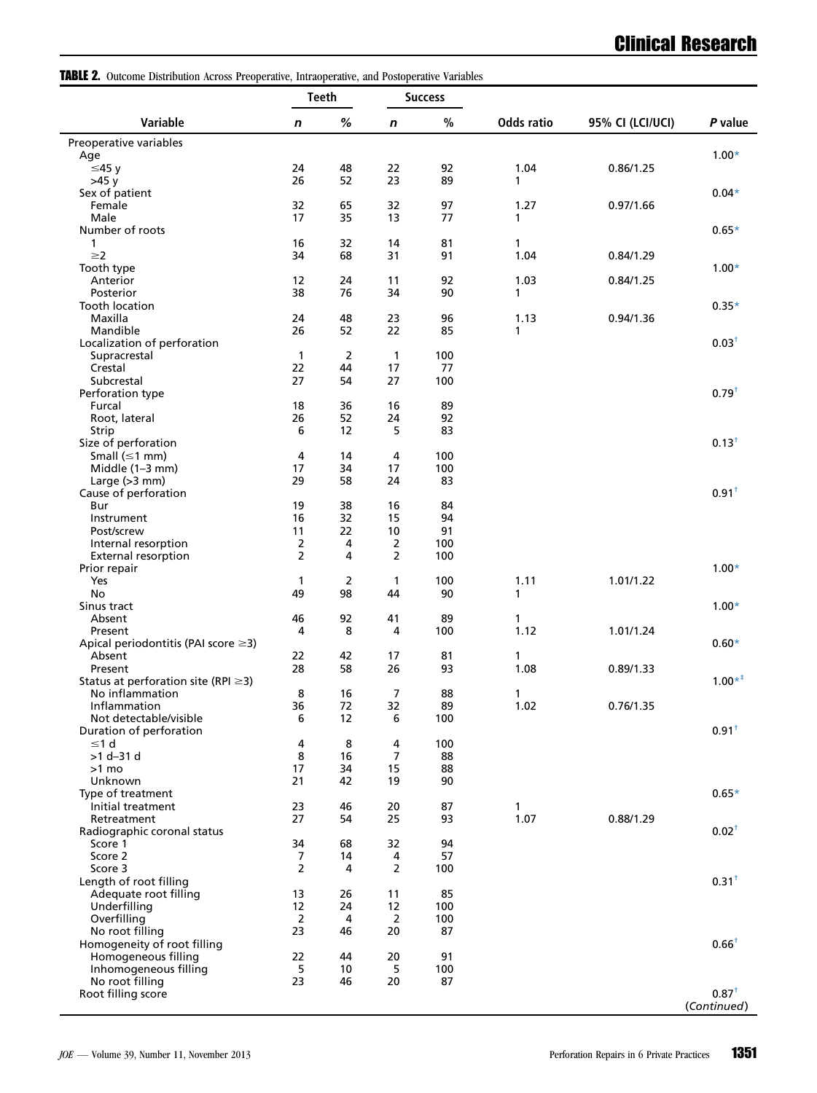<span id="page-5-0"></span>TABLE 2. Outcome Distribution Across Preoperative, Intraoperative, and Postoperative Variables

|                                                 |                | <b>Teeth</b> | <b>Success</b> |           |            |                  |                   |
|-------------------------------------------------|----------------|--------------|----------------|-----------|------------|------------------|-------------------|
| Variable                                        | n              | %            | $\mathbf n$    | $\%$      | Odds ratio | 95% CI (LCI/UCI) | P value           |
| Preoperative variables                          |                |              |                |           |            |                  |                   |
| Age                                             |                |              |                |           | 1.04       | 0.86/1.25        | $1.00*$           |
| ≤45y<br>$>45$ v                                 | 24<br>26       | 48<br>52     | 22<br>23       | 92<br>89  | 1          |                  |                   |
| Sex of patient                                  |                |              |                |           |            |                  | $0.04*$           |
| Female                                          | 32             | 65           | 32             | 97        | 1.27       | 0.97/1.66        |                   |
| Male                                            | 17             | 35           | 13             | 77        | 1          |                  |                   |
| Number of roots                                 |                |              |                |           |            |                  | $0.65*$           |
| 1<br>$\geq$ 2                                   | 16<br>34       | 32<br>68     | 14<br>31       | 81<br>91  | 1<br>1.04  | 0.84/1.29        |                   |
| Tooth type                                      |                |              |                |           |            |                  | $1.00*$           |
| Anterior                                        | 12             | 24           | 11             | 92        | 1.03       | 0.84/1.25        |                   |
| Posterior                                       | 38             | 76           | 34             | 90        | 1          |                  |                   |
| Tooth location                                  |                |              |                |           |            |                  | $0.35*$           |
| Maxilla                                         | 24             | 48           | 23             | 96        | 1.13       | 0.94/1.36        |                   |
| Mandible                                        | 26             | 52           | 22             | 85        | 1          |                  | 0.03 <sup>†</sup> |
| Localization of perforation<br>Supracrestal     | $\mathbf{1}$   | 2            | 1              | 100       |            |                  |                   |
| Crestal                                         | 22             | 44           | 17             | 77        |            |                  |                   |
| Subcrestal                                      | 27             | 54           | 27             | 100       |            |                  |                   |
| Perforation type                                |                |              |                |           |            |                  | $0.79^{+}$        |
| Furcal                                          | 18             | 36           | 16             | 89        |            |                  |                   |
| Root, lateral                                   | 26             | 52           | 24             | 92        |            |                  |                   |
| Strip<br>Size of perforation                    | 6              | 12           | 5              | 83        |            |                  | $0.13^{+}$        |
| Small $(\leq 1$ mm)                             | 4              | 14           | 4              | 100       |            |                  |                   |
| Middle (1-3 mm)                                 | 17             | 34           | 17             | 100       |            |                  |                   |
| Large $(>3$ mm)                                 | 29             | 58           | 24             | 83        |            |                  |                   |
| Cause of perforation                            |                |              |                |           |            |                  | 0.91 <sup>†</sup> |
| Bur                                             | 19             | 38           | 16             | 84        |            |                  |                   |
| Instrument<br>Post/screw                        | 16<br>11       | 32<br>22     | 15<br>10       | 94<br>91  |            |                  |                   |
| Internal resorption                             | $\overline{2}$ | 4            | 2              | 100       |            |                  |                   |
| <b>External resorption</b>                      | $\overline{2}$ | 4            | 2              | 100       |            |                  |                   |
| Prior repair                                    |                |              |                |           |            |                  | $1.00*$           |
| Yes                                             | 1              | 2            | 1              | 100       | 1.11       | 1.01/1.22        |                   |
| No                                              | 49             | 98           | 44             | 90        | 1          |                  |                   |
| Sinus tract<br>Absent                           | 46             | 92           | 41             | 89        | 1          |                  | $1.00*$           |
| Present                                         | 4              | 8            | 4              | 100       | 1.12       | 1.01/1.24        |                   |
| Apical periodontitis (PAI score $\geq$ 3)       |                |              |                |           |            |                  | $0.60*$           |
| Absent                                          | 22             | 42           | 17             | 81        | 1          |                  |                   |
| Present                                         | 28             | 58           | 26             | 93        | 1.08       | 0.89/1.33        |                   |
| Status at perforation site (RPI $\geq$ 3)       |                |              |                |           |            |                  | $1.00*^{+}$       |
| No inflammation<br>Inflammation                 | 8<br>36        | 16<br>72     | 7<br>32        | 88<br>89  | 1<br>1.02  | 0.76/1.35        |                   |
| Not detectable/visible                          | 6              | 12           | 6              | 100       |            |                  |                   |
| Duration of perforation                         |                |              |                |           |            |                  | $0.91+$           |
| $\leq 1$ d                                      | 4              | 8            | 4              | 100       |            |                  |                   |
| $>1 d - 31 d$                                   | 8              | 16           | 7              | 88        |            |                  |                   |
| >1 mo                                           | 17             | 34           | 15             | 88        |            |                  |                   |
| Unknown                                         | 21             | 42           | 19             | 90        |            |                  | $0.65*$           |
| Type of treatment<br>Initial treatment          | 23             | 46           | 20             | 87        | 1          |                  |                   |
| Retreatment                                     | 27             | 54           | 25             | 93        | 1.07       | 0.88/1.29        |                   |
| Radiographic coronal status                     |                |              |                |           |            |                  | $0.02^{+}$        |
| Score 1                                         | 34             | 68           | 32             | 94        |            |                  |                   |
| Score 2                                         | 7              | 14           | 4              | 57        |            |                  |                   |
| Score 3                                         | 2              | 4            | 2              | 100       |            |                  |                   |
| Length of root filling<br>Adequate root filling | 13             | 26           | 11             | 85        |            |                  | 0.31 <sup>†</sup> |
| Underfilling                                    | 12             | 24           | 12             | 100       |            |                  |                   |
| Overfilling                                     | $\overline{2}$ | 4            | $\overline{2}$ | 100       |            |                  |                   |
| No root filling                                 | 23             | 46           | 20             | 87        |            |                  |                   |
| Homogeneity of root filling                     |                |              |                |           |            |                  | $0.66^+$          |
| Homogeneous filling                             | 22             | 44           | 20             | 91        |            |                  |                   |
| Inhomogeneous filling<br>No root filling        | 5<br>23        | 10<br>46     | 5<br>20        | 100<br>87 |            |                  |                   |
| Root filling score                              |                |              |                |           |            |                  | $0.87^{+}$        |
|                                                 |                |              |                |           |            |                  | (Continued)       |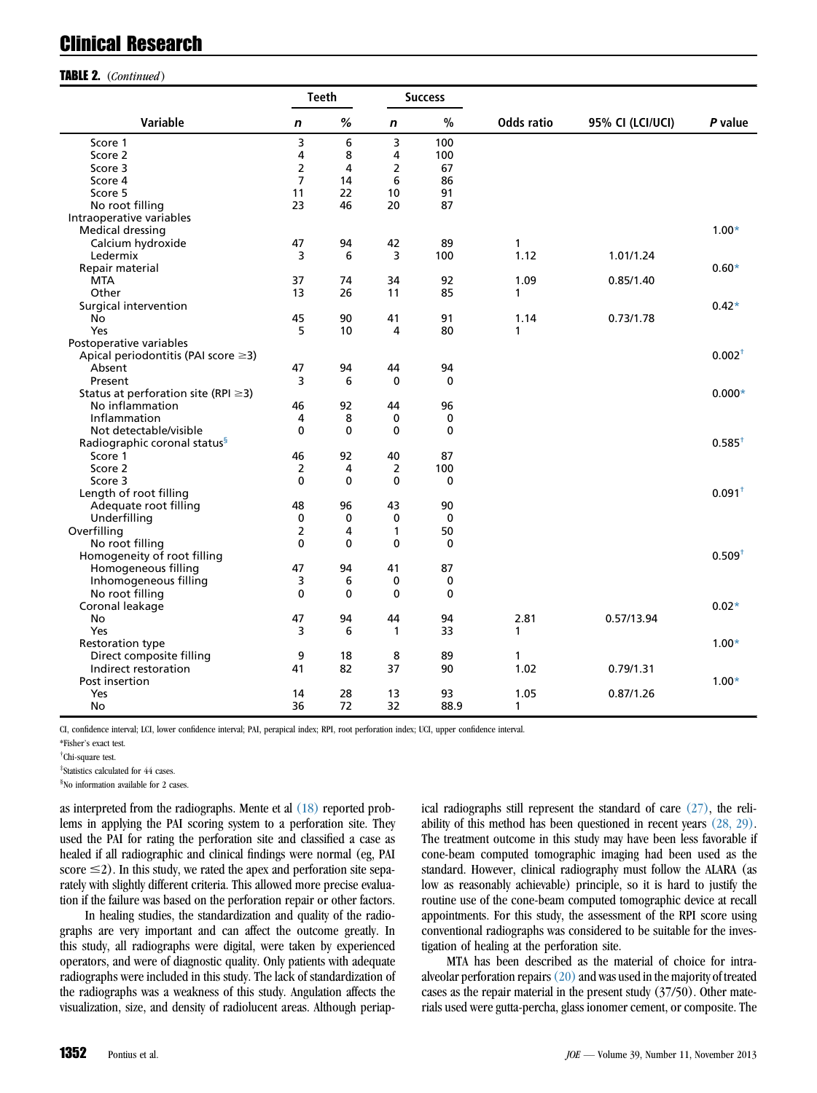#### TABLE 2. (Continued)

|                                           |                | <b>Teeth</b> |                | <b>Success</b> |                   |                  |             |  |
|-------------------------------------------|----------------|--------------|----------------|----------------|-------------------|------------------|-------------|--|
| Variable                                  | n              | %            | $\mathbf n$    | $\%$           | <b>Odds ratio</b> | 95% CI (LCI/UCI) | P value     |  |
| Score 1                                   | 3              | 6            | 3              | 100            |                   |                  |             |  |
| Score 2                                   | 4              | 8            | 4              | 100            |                   |                  |             |  |
| Score 3                                   | $\mathbf 2$    | 4            | $\overline{2}$ | 67             |                   |                  |             |  |
| Score 4                                   | $\overline{7}$ | 14           | 6              | 86             |                   |                  |             |  |
| Score 5                                   | 11             | 22           | 10             | 91             |                   |                  |             |  |
| No root filling                           | 23             | 46           | 20             | 87             |                   |                  |             |  |
| Intraoperative variables                  |                |              |                |                |                   |                  |             |  |
| Medical dressing                          |                |              |                |                |                   |                  | $1.00*$     |  |
| Calcium hydroxide                         | 47             | 94           | 42             | 89             | 1                 |                  |             |  |
| Ledermix                                  | 3              | 6            | 3              | 100            | 1.12              | 1.01/1.24        |             |  |
| Repair material                           |                |              |                |                |                   |                  | $0.60*$     |  |
| <b>MTA</b>                                | 37             | 74           | 34             | 92             | 1.09              | 0.85/1.40        |             |  |
| Other                                     | 13             | 26           | 11             | 85             | 1                 |                  |             |  |
| Surgical intervention                     |                |              |                |                |                   |                  | $0.42*$     |  |
| No                                        | 45             | 90           | 41             | 91             | 1.14              | 0.73/1.78        |             |  |
| Yes                                       | 5              | 10           | 4              | 80             | 1                 |                  |             |  |
| Postoperative variables                   |                |              |                |                |                   |                  |             |  |
| Apical periodontitis (PAI score $\geq$ 3) |                |              |                |                |                   |                  | $0.002^{+}$ |  |
| Absent                                    | 47             | 94           | 44             | 94             |                   |                  |             |  |
| Present                                   | 3              | 6            | $\mathbf 0$    | $\mathbf{0}$   |                   |                  |             |  |
| Status at perforation site (RPI $\geq$ 3) |                |              |                |                |                   |                  | $0.000*$    |  |
| No inflammation                           | 46             | 92           | 44             | 96             |                   |                  |             |  |
| Inflammation                              | 4              | 8            | 0              | 0              |                   |                  |             |  |
| Not detectable/visible                    | $\mathbf 0$    | 0            | $\mathbf 0$    | 0              |                   |                  |             |  |
| Radiographic coronal status <sup>§</sup>  |                |              |                |                |                   |                  | $0.585^{+}$ |  |
| Score 1                                   | 46             | 92           | 40             | 87             |                   |                  |             |  |
| Score 2                                   | 2              | 4            | 2              | 100            |                   |                  |             |  |
| Score 3                                   | $\mathbf 0$    | $\mathbf 0$  | 0              | $\mathbf 0$    |                   |                  |             |  |
| Length of root filling                    |                |              |                |                |                   |                  | $0.091+$    |  |
| Adequate root filling                     | 48             | 96           | 43             | 90             |                   |                  |             |  |
| Underfilling                              | $\mathbf 0$    | 0            | 0              | $\mathbf{0}$   |                   |                  |             |  |
| Overfilling                               | $\overline{2}$ | 4            | 1              | 50             |                   |                  |             |  |
| No root filling                           | $\mathbf 0$    | $\mathbf{0}$ | $\mathbf 0$    | $\mathbf{0}$   |                   |                  |             |  |
| Homogeneity of root filling               |                |              |                |                |                   |                  | $0.509^{+}$ |  |
| Homogeneous filling                       | 47             | 94           | 41             | 87             |                   |                  |             |  |
| Inhomogeneous filling                     | 3              | 6            | 0              | 0              |                   |                  |             |  |
| No root filling                           | $\mathbf{0}$   | $\mathbf 0$  | 0              | $\mathbf{0}$   |                   |                  |             |  |
| Coronal leakage                           |                |              |                |                |                   |                  | $0.02*$     |  |
| No                                        | 47             | 94           | 44             | 94             | 2.81              | 0.57/13.94       |             |  |
| Yes                                       | 3              | 6            | 1              | 33             | 1                 |                  |             |  |
| <b>Restoration type</b>                   |                |              |                |                |                   |                  | $1.00*$     |  |
| Direct composite filling                  | 9              | 18           | 8              | 89             | 1                 |                  |             |  |
| Indirect restoration                      | 41             | 82           | 37             | 90             | 1.02              | 0.79/1.31        |             |  |
| Post insertion                            |                |              |                |                |                   |                  | $1.00*$     |  |
| Yes                                       | 14             | 28           | 13             | 93             | 1.05              | 0.87/1.26        |             |  |
| No                                        | 36             | 72           | 32             | 88.9           | 1                 |                  |             |  |

CI, confidence interval; LCI, lower confidence interval; PAI, perapical index; RPI, root perforation index; UCI, upper confidence interval.

\*Fisher's exact test.

‡ Statistics calculated for 44 cases.

§ No information available for 2 cases.

as interpreted from the radiographs. Mente et al [\(18\)](#page-11-0) reported problems in applying the PAI scoring system to a perforation site. They used the PAI for rating the perforation site and classified a case as healed if all radiographic and clinical findings were normal (eg, PAI score  $\leq$ 2). In this study, we rated the apex and perforation site separately with slightly different criteria. This allowed more precise evaluation if the failure was based on the perforation repair or other factors.

In healing studies, the standardization and quality of the radiographs are very important and can affect the outcome greatly. In this study, all radiographs were digital, were taken by experienced operators, and were of diagnostic quality. Only patients with adequate radiographs were included in this study. The lack of standardization of the radiographs was a weakness of this study. Angulation affects the visualization, size, and density of radiolucent areas. Although periapical radiographs still represent the standard of care [\(27\),](#page-11-0) the reliability of this method has been questioned in recent years [\(28, 29\).](#page-11-0) The treatment outcome in this study may have been less favorable if cone-beam computed tomographic imaging had been used as the standard. However, clinical radiography must follow the ALARA (as low as reasonably achievable) principle, so it is hard to justify the routine use of the cone-beam computed tomographic device at recall appointments. For this study, the assessment of the RPI score using conventional radiographs was considered to be suitable for the investigation of healing at the perforation site.

MTA has been described as the material of choice for intraalveolar perforation repairs  $(20)$  and was used in the majority of treated cases as the repair material in the present study (37/50). Other materials used were gutta-percha, glass ionomer cement, or composite. The

<sup>†</sup> Chi-square test.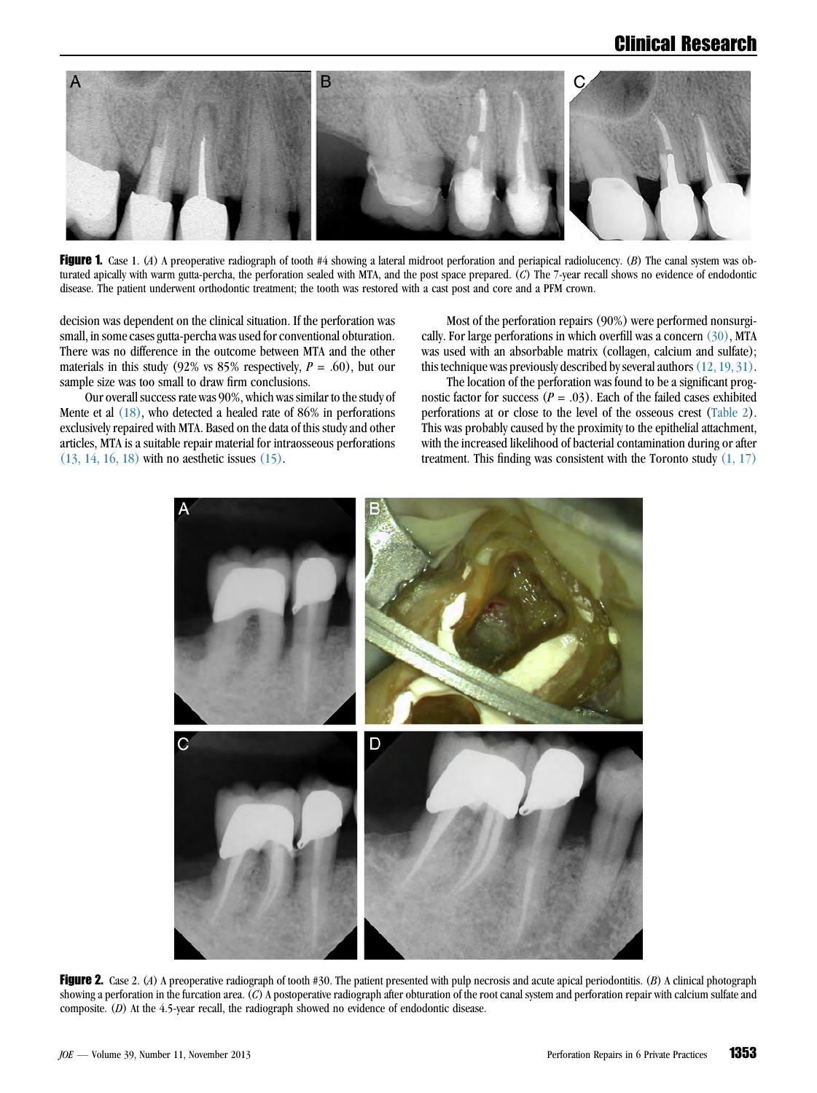<span id="page-7-0"></span>

Figure 1. Case 1. (A) A preoperative radiograph of tooth #4 showing a lateral midroot perforation and periapical radiolucency. (B) The canal system was obturated apically with warm gutta-percha, the perforation sealed with MTA, and the post space prepared. (C) The 7-year recall shows no evidence of endodontic disease. The patient underwent orthodontic treatment; the tooth was restored with a cast post and core and a PFM crown.

decision was dependent on the clinical situation. If the perforation was small, in some cases gutta-percha was used for conventional obturation. There was no difference in the outcome between MTA and the other materials in this study (92% vs 85% respectively,  $P = .60$ ), but our sample size was too small to draw firm conclusions.

Our overall success rate was 90%, which was similar to the study of Mente et al [\(18\)](#page-11-0), who detected a healed rate of 86% in perforations exclusively repaired with MTA. Based on the data of this study and other articles, MTA is a suitable repair material for intraosseous perforations [\(13, 14, 16, 18\)](#page-11-0) with no aesthetic issues [\(15\)](#page-11-0).

Most of the perforation repairs (90%) were performed nonsurgically. For large perforations in which overfill was a concern [\(30\)](#page-12-0), MTA was used with an absorbable matrix (collagen, calcium and sulfate); this technique was previously described by several authors [\(12, 19, 31\).](#page-11-0)

The location of the perforation was found to be a significant prognostic factor for success ( $P = .03$ ). Each of the failed cases exhibited perforations at or close to the level of the osseous crest [\(Table 2](#page-5-0)). This was probably caused by the proximity to the epithelial attachment, with the increased likelihood of bacterial contamination during or after treatment. This finding was consistent with the Toronto study  $(1, 17)$ 



Figure 2. Case 2. (A) A preoperative radiograph of tooth #30. The patient presented with pulp necrosis and acute apical periodontitis. (B) A clinical photograph showing a perforation in the furcation area. (C) A postoperative radiograph after obturation of the root canal system and perforation repair with calcium sulfate and composite. (D) At the 4.5-year recall, the radiograph showed no evidence of endodontic disease.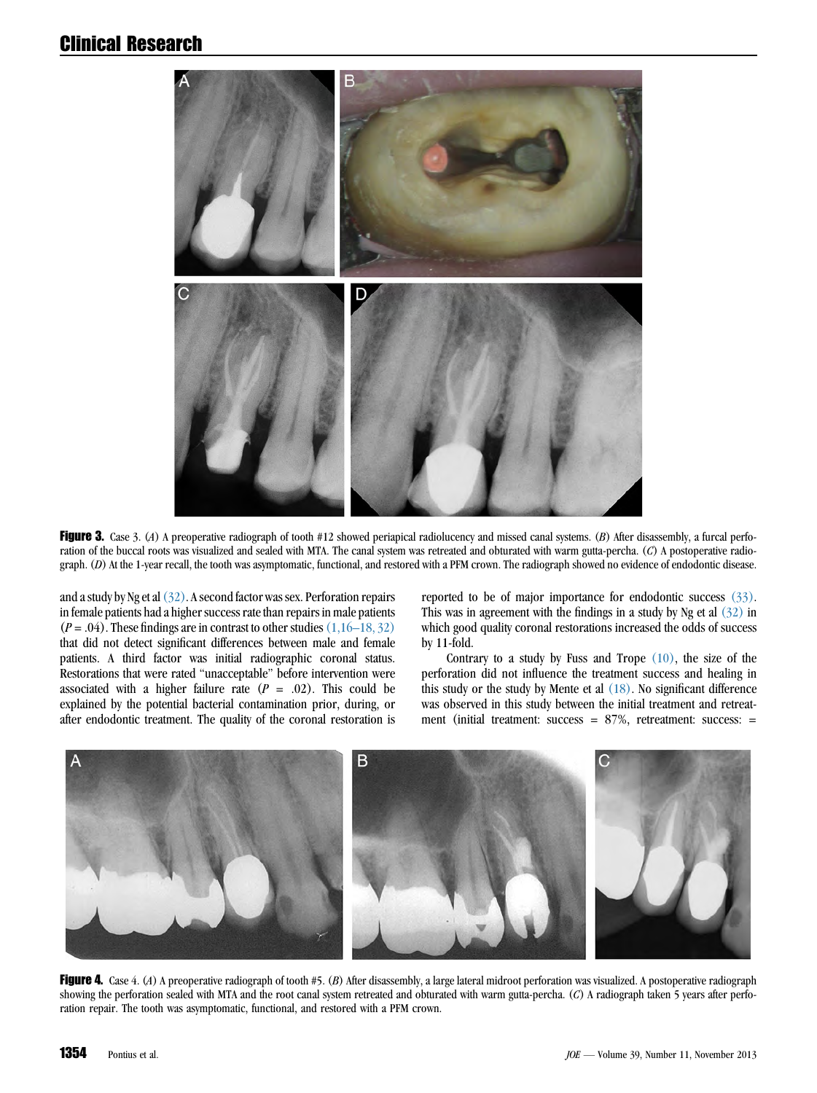

Figure 3. Case 3. (A) A preoperative radiograph of tooth #12 showed periapical radiolucency and missed canal systems. (B) After disassembly, a furcal perforation of the buccal roots was visualized and sealed with MTA. The canal system was retreated and obturated with warm gutta-percha. (C) A postoperative radiograph. (D) At the 1-year recall, the tooth was asymptomatic, functional, and restored with a PFM crown. The radiograph showed no evidence of endodontic disease.

and a study by Ng et al  $(32)$ . A second factor was sex. Perforation repairs in female patients had a higher success rate than repairs in male patients  $(P = .04)$ . These findings are in contrast to other studies  $(1,16–18, 32)$ that did not detect significant differences between male and female patients. A third factor was initial radiographic coronal status. Restorations that were rated ''unacceptable'' before intervention were associated with a higher failure rate  $(P = .02)$ . This could be explained by the potential bacterial contamination prior, during, or after endodontic treatment. The quality of the coronal restoration is

reported to be of major importance for endodontic success  $(33)$ . This was in agreement with the findings in a study by Ng et al  $(32)$  in which good quality coronal restorations increased the odds of success by 11-fold.

Contrary to a study by Fuss and Trope  $(10)$ , the size of the perforation did not influence the treatment success and healing in this study or the study by Mente et al [\(18\)](#page-11-0). No significant difference was observed in this study between the initial treatment and retreatment (initial treatment: success = 87%, retreatment: success: =



Figure 4. Case 4. (A) A preoperative radiograph of tooth #5. (B) After disassembly, a large lateral midroot perforation was visualized. A postoperative radiograph showing the perforation sealed with MTA and the root canal system retreated and obturated with warm gutta-percha. (C) A radiograph taken 5 years after perforation repair. The tooth was asymptomatic, functional, and restored with a PFM crown.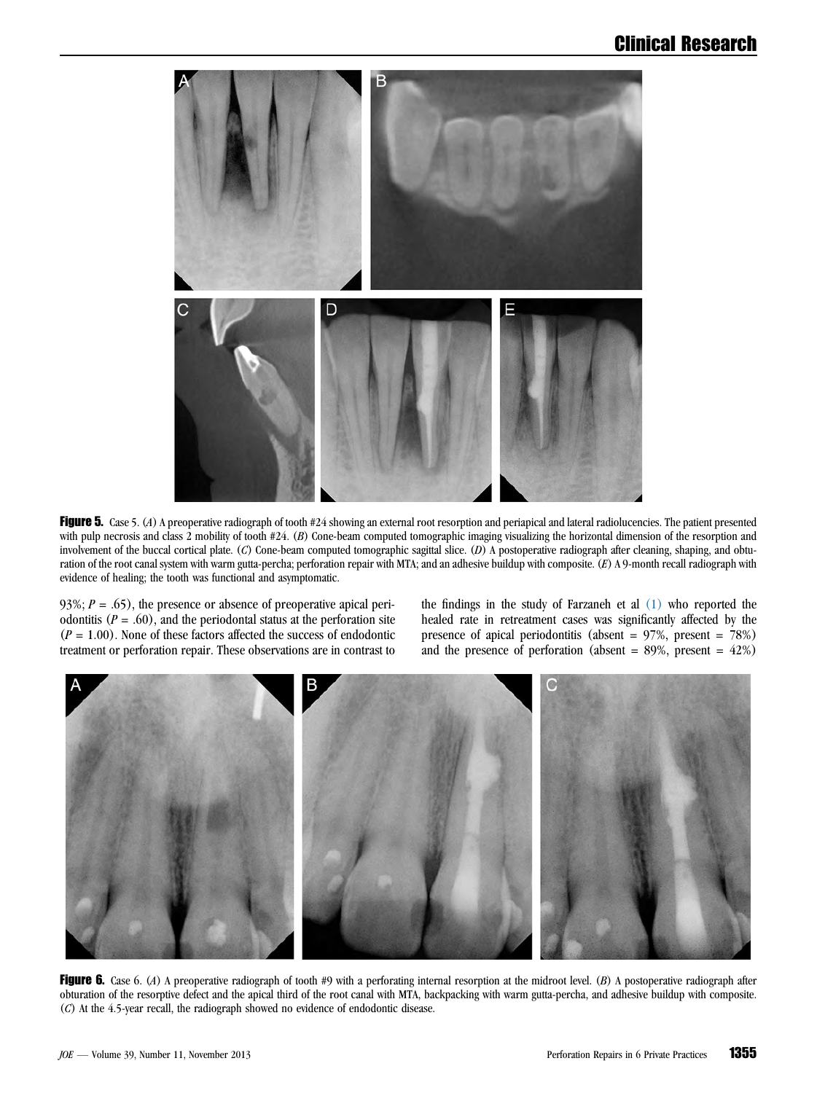

Figure 5. Case 5. (A) A preoperative radiograph of tooth #24 showing an external root resorption and periapical and lateral radiolucencies. The patient presented with pulp necrosis and class 2 mobility of tooth #24. (B) Cone-beam computed tomographic imaging visualizing the horizontal dimension of the resorption and involvement of the buccal cortical plate. (C) Cone-beam computed tomographic sagittal slice. (D) A postoperative radiograph after cleaning, shaping, and obturation of the root canal system with warm gutta-percha; perforation repair with MTA; and an adhesive buildup with composite. (E) A 9-month recall radiograph with evidence of healing; the tooth was functional and asymptomatic.

93%;  $P = .65$ ), the presence or absence of preoperative apical periodontitis ( $P = .60$ ), and the periodontal status at the perforation site  $(P = 1.00)$ . None of these factors affected the success of endodontic treatment or perforation repair. These observations are in contrast to

the findings in the study of Farzaneh et al [\(1\)](#page-11-0) who reported the healed rate in retreatment cases was significantly affected by the presence of apical periodontitis (absent = 97%, present = 78%) and the presence of perforation (absent =  $89\%$ , present =  $42\%$ )



Figure 6. Case 6. (A) A preoperative radiograph of tooth #9 with a perforating internal resorption at the midroot level. (B) A postoperative radiograph after obturation of the resorptive defect and the apical third of the root canal with MTA, backpacking with warm gutta-percha, and adhesive buildup with composite. (C) At the 4.5-year recall, the radiograph showed no evidence of endodontic disease.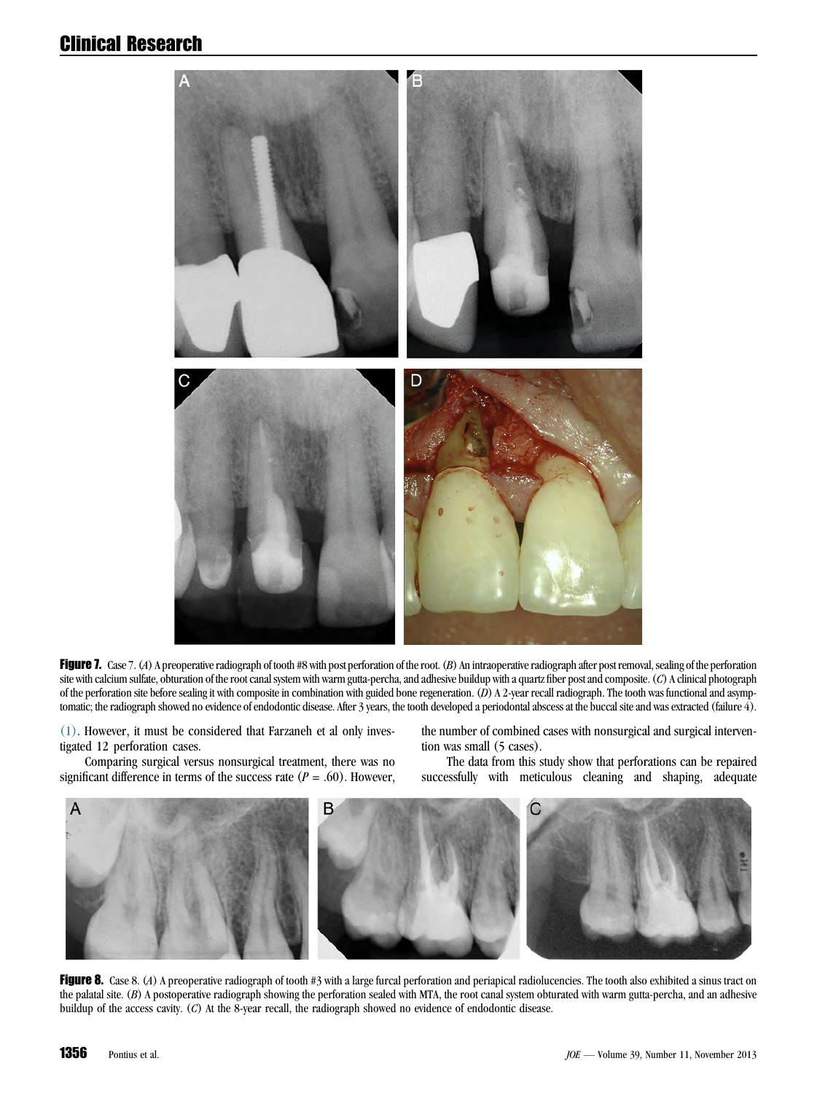

Figure 7. Case 7. (A) A preoperative radiograph of tooth #8 with post perforation of the root. (B) An intraoperative radiograph after post removal, sealing of the perforation site with calcium sulfate, obturation of the root canal system with warm gutta-percha, and adhesive buildup with a quartz fiber post and composite. (C) A clinical photograph of the perforation site before sealing it with composite in combination with guided bone regeneration. (D) A 2-year recall radiograph. The tooth was functional and asymptomatic; the radiograph showed no evidence of endodontic disease. After 3 years, the tooth developed a periodontal abscess at the buccal site and was extracted (failure 4).

[\(1\)](#page-11-0). However, it must be considered that Farzaneh et al only investigated 12 perforation cases.

the number of combined cases with nonsurgical and surgical intervention was small (5 cases).

Comparing surgical versus nonsurgical treatment, there was no significant difference in terms of the success rate ( $P = .60$ ). However,

The data from this study show that perforations can be repaired successfully with meticulous cleaning and shaping, adequate



Figure 8. Case 8. (A) A preoperative radiograph of tooth #3 with a large furcal perforation and periapical radiolucencies. The tooth also exhibited a sinus tract on the palatal site. (B) A postoperative radiograph showing the perforation sealed with MTA, the root canal system obturated with warm gutta-percha, and an adhesive buildup of the access cavity. (C) At the 8-year recall, the radiograph showed no evidence of endodontic disease.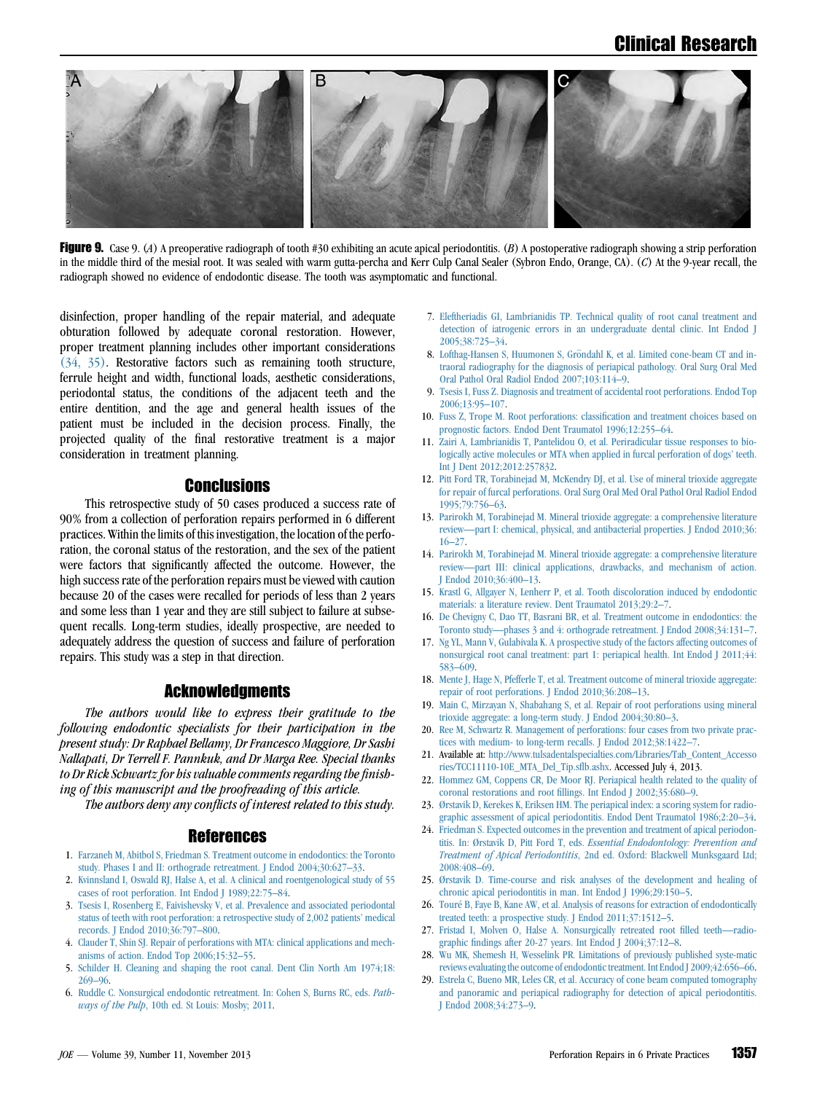<span id="page-11-0"></span>

Figure 9. Case 9. (A) A preoperative radiograph of tooth #30 exhibiting an acute apical periodontitis. (B) A postoperative radiograph showing a strip perforation in the middle third of the mesial root. It was sealed with warm gutta-percha and Kerr Culp Canal Sealer (Sybron Endo, Orange, CA). (C) At the 9-year recall, the radiograph showed no evidence of endodontic disease. The tooth was asymptomatic and functional.

disinfection, proper handling of the repair material, and adequate obturation followed by adequate coronal restoration. However, proper treatment planning includes other important considerations [\(34, 35\).](#page-12-0) Restorative factors such as remaining tooth structure, ferrule height and width, functional loads, aesthetic considerations, periodontal status, the conditions of the adjacent teeth and the entire dentition, and the age and general health issues of the patient must be included in the decision process. Finally, the projected quality of the final restorative treatment is a major consideration in treatment planning.

#### **Conclusions**

This retrospective study of 50 cases produced a success rate of 90% from a collection of perforation repairs performed in 6 different practices. Within the limits of this investigation, the location of the perforation, the coronal status of the restoration, and the sex of the patient were factors that significantly affected the outcome. However, the high success rate of the perforation repairs must be viewed with caution because 20 of the cases were recalled for periods of less than 2 years and some less than 1 year and they are still subject to failure at subsequent recalls. Long-term studies, ideally prospective, are needed to adequately address the question of success and failure of perforation repairs. This study was a step in that direction.

#### Acknowledgments

The authors would like to express their gratitude to the following endodontic specialists for their participation in the present study: Dr Raphael Bellamy, Dr Francesco Maggiore, Dr Sashi Nallapati, Dr Terrell F. Pannkuk, and Dr Marga Ree. Special thanks to Dr Rick Schwartz for his valuable comments regarding the finishing of this manuscript and the proofreading of this article.

The authors deny any conflicts of interest related to this study.

#### References

- 1. [Farzaneh M, Abitbol S, Friedman S. Treatment outcome in endodontics: the Toronto](http://refhub.elsevier.com/S0099-2399(13)00665-1/sref1) [study. Phases I and II: orthograde retreatment. J Endod 2004;30:627–33.](http://refhub.elsevier.com/S0099-2399(13)00665-1/sref1)
- 2. [Kvinnsland I, Oswald RJ, Halse A, et al. A clinical and roentgenological study of 55](http://refhub.elsevier.com/S0099-2399(13)00665-1/sref2) [cases of root perforation. Int Endod J 1989;22:75–84](http://refhub.elsevier.com/S0099-2399(13)00665-1/sref2).
- 3. [Tsesis I, Rosenberg E, Faivishevsky V, et al. Prevalence and associated periodontal](http://refhub.elsevier.com/S0099-2399(13)00665-1/sref3) [status of teeth with root perforation: a retrospective study of 2,002 patients' medical](http://refhub.elsevier.com/S0099-2399(13)00665-1/sref3) [records. J Endod 2010;36:797–800.](http://refhub.elsevier.com/S0099-2399(13)00665-1/sref3)
- 4. [Clauder T, Shin SJ. Repair of perforations with MTA: clinical applications and mech](http://refhub.elsevier.com/S0099-2399(13)00665-1/sref4)[anisms of action. Endod Top 2006;15:32–55](http://refhub.elsevier.com/S0099-2399(13)00665-1/sref4).
- 5. [Schilder H. Cleaning and shaping the root canal. Dent Clin North Am 1974;18:](http://refhub.elsevier.com/S0099-2399(13)00665-1/sref5) [269–96.](http://refhub.elsevier.com/S0099-2399(13)00665-1/sref5)
- 6. [Ruddle C. Nonsurgical endodontic retreatment. In: Cohen S, Burns RC, eds.](http://refhub.elsevier.com/S0099-2399(13)00665-1/sref6) Path-ways of the Pulp[, 10th ed. St Louis: Mosby; 2011](http://refhub.elsevier.com/S0099-2399(13)00665-1/sref6).
- 7. [Eleftheriadis GI, Lambrianidis TP. Technical quality of root canal treatment and](http://refhub.elsevier.com/S0099-2399(13)00665-1/sref7) [detection of iatrogenic errors in an undergraduate dental clinic. Int Endod J](http://refhub.elsevier.com/S0099-2399(13)00665-1/sref7) [2005;38:725–34.](http://refhub.elsevier.com/S0099-2399(13)00665-1/sref7)
- 8. [Lofthag-Hansen S, Huumonen S, Gr](http://refhub.elsevier.com/S0099-2399(13)00665-1/sref8)ö[ndahl K, et al. Limited cone-beam CT and in](http://refhub.elsevier.com/S0099-2399(13)00665-1/sref8)[traoral radiography for the diagnosis of periapical pathology. Oral Surg Oral Med](http://refhub.elsevier.com/S0099-2399(13)00665-1/sref8) [Oral Pathol Oral Radiol Endod 2007;103:114–9](http://refhub.elsevier.com/S0099-2399(13)00665-1/sref8).
- 9. [Tsesis I, Fuss Z. Diagnosis and treatment of accidental root perforations. Endod Top](http://refhub.elsevier.com/S0099-2399(13)00665-1/sref9) [2006;13:95–107.](http://refhub.elsevier.com/S0099-2399(13)00665-1/sref9)
- 10. [Fuss Z, Trope M. Root perforations: classification and treatment choices based on](http://refhub.elsevier.com/S0099-2399(13)00665-1/sref10) [prognostic factors. Endod Dent Traumatol 1996;12:255–64](http://refhub.elsevier.com/S0099-2399(13)00665-1/sref10).
- 11. [Zairi A, Lambrianidis T, Pantelidou O, et al. Periradicular tissue responses to bio](http://refhub.elsevier.com/S0099-2399(13)00665-1/sref11)[logically active molecules or MTA when applied in furcal perforation of dogs' teeth.](http://refhub.elsevier.com/S0099-2399(13)00665-1/sref11) [Int J Dent 2012;2012:257832](http://refhub.elsevier.com/S0099-2399(13)00665-1/sref11).
- 12. [Pitt Ford TR, Torabinejad M, McKendry DJ, et al. Use of mineral trioxide aggregate](http://refhub.elsevier.com/S0099-2399(13)00665-1/sref12) [for repair of furcal perforations. Oral Surg Oral Med Oral Pathol Oral Radiol Endod](http://refhub.elsevier.com/S0099-2399(13)00665-1/sref12) [1995;79:756–63](http://refhub.elsevier.com/S0099-2399(13)00665-1/sref12).
- 13. [Parirokh M, Torabinejad M. Mineral trioxide aggregate: a comprehensive literature](http://refhub.elsevier.com/S0099-2399(13)00665-1/sref13) [review—part I: chemical, physical, and antibacterial properties. J Endod 2010;36:](http://refhub.elsevier.com/S0099-2399(13)00665-1/sref13) [16–27.](http://refhub.elsevier.com/S0099-2399(13)00665-1/sref13)
- 14. [Parirokh M, Torabinejad M. Mineral trioxide aggregate: a comprehensive literature](http://refhub.elsevier.com/S0099-2399(13)00665-1/sref14) [review—part III: clinical applications, drawbacks, and mechanism of action.](http://refhub.elsevier.com/S0099-2399(13)00665-1/sref14) [J Endod 2010;36:400–13.](http://refhub.elsevier.com/S0099-2399(13)00665-1/sref14)
- 15. [Krastl G, Allgayer N, Lenherr P, et al. Tooth discoloration induced by endodontic](http://refhub.elsevier.com/S0099-2399(13)00665-1/sref15) [materials: a literature review. Dent Traumatol 2013;29:2–7.](http://refhub.elsevier.com/S0099-2399(13)00665-1/sref15)
- 16. [De Chevigny C, Dao TT, Basrani BR, et al. Treatment outcome in endodontics: the](http://refhub.elsevier.com/S0099-2399(13)00665-1/sref16) [Toronto study—phases 3 and 4: orthograde retreatment. J Endod 2008;34:131–7](http://refhub.elsevier.com/S0099-2399(13)00665-1/sref16).
- 17. [Ng YL, Mann V, Gulabivala K. A prospective study of the factors affecting outcomes of](http://refhub.elsevier.com/S0099-2399(13)00665-1/sref17) [nonsurgical root canal treatment: part 1: periapical health. Int Endod J 2011;44:](http://refhub.elsevier.com/S0099-2399(13)00665-1/sref17) [583–609.](http://refhub.elsevier.com/S0099-2399(13)00665-1/sref17)
- 18. [Mente J, Hage N, Pfefferle T, et al. Treatment outcome of mineral trioxide aggregate:](http://refhub.elsevier.com/S0099-2399(13)00665-1/sref18) [repair of root perforations. J Endod 2010;36:208–13](http://refhub.elsevier.com/S0099-2399(13)00665-1/sref18).
- 19. [Main C, Mirzayan N, Shabahang S, et al. Repair of root perforations using mineral](http://refhub.elsevier.com/S0099-2399(13)00665-1/sref19) [trioxide aggregate: a long-term study. J Endod 2004;30:80–3](http://refhub.elsevier.com/S0099-2399(13)00665-1/sref19).
- 20. [Ree M, Schwartz R. Management of perforations: four cases from two private prac](http://refhub.elsevier.com/S0099-2399(13)00665-1/sref20)tices with medium- to long-term recalls. J Endod 2012;38:1422-7
- 21. Available at: [http://www.tulsadentalspecialties.com/Libraries/Tab\\_Content\\_Accesso](http://www.tulsadentalspecialties.com/Libraries/Tab_Content_Accessories/TCC11110-10E_MTA_Del_Tip.sflb.ashx) [ries/TCC11110-10E\\_MTA\\_Del\\_Tip.sflb.ashx](http://www.tulsadentalspecialties.com/Libraries/Tab_Content_Accessories/TCC11110-10E_MTA_Del_Tip.sflb.ashx). Accessed July 4, 2013.
- 22. [Hommez GM, Coppens CR, De Moor RJ. Periapical health related to the quality of](http://refhub.elsevier.com/S0099-2399(13)00665-1/sref21) [coronal restorations and root fillings. Int Endod J 2002;35:680–9](http://refhub.elsevier.com/S0099-2399(13)00665-1/sref21).
- 23. Ø[rstavik D, Kerekes K, Eriksen HM. The periapical index: a scoring system for radio](http://refhub.elsevier.com/S0099-2399(13)00665-1/sref22)[graphic assessment of apical periodontitis. Endod Dent Traumatol 1986;2:20–34.](http://refhub.elsevier.com/S0099-2399(13)00665-1/sref22)
- 24. [Friedman S. Expected outcomes in the prevention and treatment of apical periodon](http://refhub.elsevier.com/S0099-2399(13)00665-1/sref23)[titis. In: Ø](http://refhub.elsevier.com/S0099-2399(13)00665-1/sref23)rstavik D, Pitt Ford T, eds. [Essential Endodontology: Prevention and](http://refhub.elsevier.com/S0099-2399(13)00665-1/sref23) Treatment of Apical Periodontitis, 2nd [ed. Oxford: Blackwell Munksgaard Ltd;](http://refhub.elsevier.com/S0099-2399(13)00665-1/sref23) [2008:408–69](http://refhub.elsevier.com/S0099-2399(13)00665-1/sref23).
- 25. Ø[rstavik D. Time-course and risk analyses of the development and healing of](http://refhub.elsevier.com/S0099-2399(13)00665-1/sref24) [chronic apical periodontitis in man. Int Endod J 1996;29:150–5](http://refhub.elsevier.com/S0099-2399(13)00665-1/sref24).
- 26. [Tour](http://refhub.elsevier.com/S0099-2399(13)00665-1/sref25)é [B, Faye B, Kane AW, et al. Analysis of reasons for extraction of endodontically](http://refhub.elsevier.com/S0099-2399(13)00665-1/sref25) [treated teeth: a prospective study. J Endod 2011;37:1512–5.](http://refhub.elsevier.com/S0099-2399(13)00665-1/sref25)
- 27. [Fristad I, Molven O, Halse A. Nonsurgically retreated root filled teeth—radio](http://refhub.elsevier.com/S0099-2399(13)00665-1/sref26)[graphic findings after 20-27 years. Int Endod J 2004;37:12–8](http://refhub.elsevier.com/S0099-2399(13)00665-1/sref26).
- 28. [Wu MK, Shemesh H, Wesselink PR. Limitations of previously published syste-matic](http://refhub.elsevier.com/S0099-2399(13)00665-1/sref27) [reviews evaluating the outcome of endodontic treatment.Int EndodJ 2009;42:656–66](http://refhub.elsevier.com/S0099-2399(13)00665-1/sref27).
- 29. [Estrela C, Bueno MR, Leles CR, et al. Accuracy of cone beam computed tomography](http://refhub.elsevier.com/S0099-2399(13)00665-1/sref28) [and panoramic and periapical radiography for detection of apical periodontitis.](http://refhub.elsevier.com/S0099-2399(13)00665-1/sref28) [J Endod 2008;34:273–9](http://refhub.elsevier.com/S0099-2399(13)00665-1/sref28).